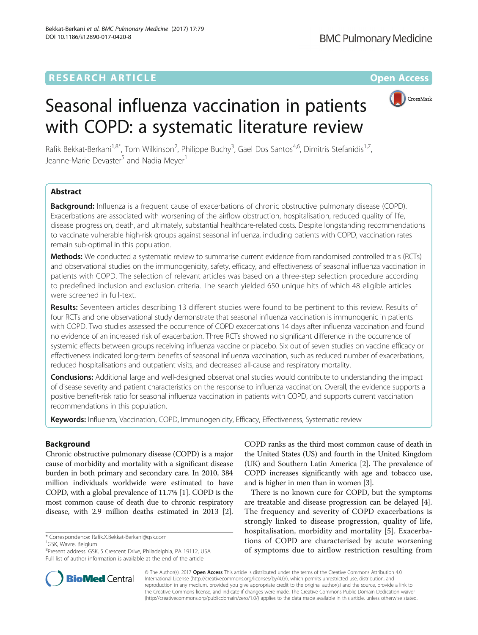## **RESEARCH ARTICLE External Structure Community Community Community Community Community Community Community Community**



# Seasonal influenza vaccination in patients with COPD: a systematic literature review

Rafik Bekkat-Berkani<sup>1,8\*</sup>, Tom Wilkinson<sup>2</sup>, Philippe Buchy<sup>3</sup>, Gael Dos Santos<sup>4,6</sup>, Dimitris Stefanidis<sup>1,7</sup>, Jeanne-Marie Devaster<sup>5</sup> and Nadia Meyer<sup>1</sup>

## Abstract

Background: Influenza is a frequent cause of exacerbations of chronic obstructive pulmonary disease (COPD). Exacerbations are associated with worsening of the airflow obstruction, hospitalisation, reduced quality of life, disease progression, death, and ultimately, substantial healthcare-related costs. Despite longstanding recommendations to vaccinate vulnerable high-risk groups against seasonal influenza, including patients with COPD, vaccination rates remain sub-optimal in this population.

Methods: We conducted a systematic review to summarise current evidence from randomised controlled trials (RCTs) and observational studies on the immunogenicity, safety, efficacy, and effectiveness of seasonal influenza vaccination in patients with COPD. The selection of relevant articles was based on a three-step selection procedure according to predefined inclusion and exclusion criteria. The search yielded 650 unique hits of which 48 eligible articles were screened in full-text.

Results: Seventeen articles describing 13 different studies were found to be pertinent to this review. Results of four RCTs and one observational study demonstrate that seasonal influenza vaccination is immunogenic in patients with COPD. Two studies assessed the occurrence of COPD exacerbations 14 days after influenza vaccination and found no evidence of an increased risk of exacerbation. Three RCTs showed no significant difference in the occurrence of systemic effects between groups receiving influenza vaccine or placebo. Six out of seven studies on vaccine efficacy or effectiveness indicated long-term benefits of seasonal influenza vaccination, such as reduced number of exacerbations, reduced hospitalisations and outpatient visits, and decreased all-cause and respiratory mortality.

Conclusions: Additional large and well-designed observational studies would contribute to understanding the impact of disease severity and patient characteristics on the response to influenza vaccination. Overall, the evidence supports a positive benefit-risk ratio for seasonal influenza vaccination in patients with COPD, and supports current vaccination recommendations in this population.

Keywords: Influenza, Vaccination, COPD, Immunogenicity, Efficacy, Effectiveness, Systematic review

## Background

Chronic obstructive pulmonary disease (COPD) is a major cause of morbidity and mortality with a significant disease burden in both primary and secondary care. In 2010, 384 million individuals worldwide were estimated to have COPD, with a global prevalence of 11.7% [[1\]](#page-13-0). COPD is the most common cause of death due to chronic respiratory disease, with 2.9 million deaths estimated in 2013 [[2](#page-13-0)].

\* Correspondence: [Rafik.X.Bekkat-Berkani@gsk.com](mailto:Rafik.X.Bekkat-Berkani@gsk.com) <sup>1</sup>

GSK, Wavre, Belgium

8 Present address: GSK, 5 Crescent Drive, Philadelphia, PA 19112, USA Full list of author information is available at the end of the article



There is no known cure for COPD, but the symptoms are treatable and disease progression can be delayed [\[4](#page-13-0)]. The frequency and severity of COPD exacerbations is strongly linked to disease progression, quality of life, hospitalisation, morbidity and mortality [[5\]](#page-13-0). Exacerbations of COPD are characterised by acute worsening of symptoms due to airflow restriction resulting from



© The Author(s). 2017 **Open Access** This article is distributed under the terms of the Creative Commons Attribution 4.0 International License [\(http://creativecommons.org/licenses/by/4.0/](http://creativecommons.org/licenses/by/4.0/)), which permits unrestricted use, distribution, and reproduction in any medium, provided you give appropriate credit to the original author(s) and the source, provide a link to the Creative Commons license, and indicate if changes were made. The Creative Commons Public Domain Dedication waiver [\(http://creativecommons.org/publicdomain/zero/1.0/](http://creativecommons.org/publicdomain/zero/1.0/)) applies to the data made available in this article, unless otherwise stated.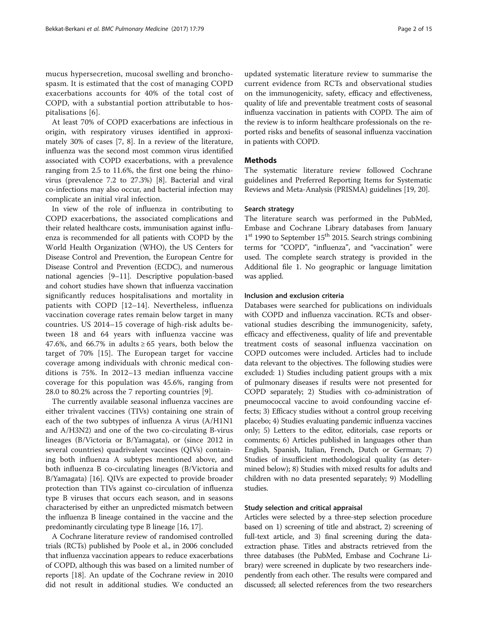At least 70% of COPD exacerbations are infectious in origin, with respiratory viruses identified in approximately 30% of cases [\[7](#page-13-0), [8\]](#page-13-0). In a review of the literature, influenza was the second most common virus identified associated with COPD exacerbations, with a prevalence ranging from 2.5 to 11.6%, the first one being the rhinovirus (prevalence 7.2 to 27.3%) [[8\]](#page-13-0). Bacterial and viral co-infections may also occur, and bacterial infection may complicate an initial viral infection.

In view of the role of influenza in contributing to COPD exacerbations, the associated complications and their related healthcare costs, immunisation against influenza is recommended for all patients with COPD by the World Health Organization (WHO), the US Centers for Disease Control and Prevention, the European Centre for Disease Control and Prevention (ECDC), and numerous national agencies [\[9](#page-13-0)–[11\]](#page-13-0). Descriptive population-based and cohort studies have shown that influenza vaccination significantly reduces hospitalisations and mortality in patients with COPD [[12](#page-13-0)–[14\]](#page-13-0). Nevertheless, influenza vaccination coverage rates remain below target in many countries. US 2014–15 coverage of high-risk adults between 18 and 64 years with influenza vaccine was 47.6%, and 66.7% in adults  $\geq 65$  years, both below the target of 70% [\[15](#page-13-0)]. The European target for vaccine coverage among individuals with chronic medical conditions is 75%. In 2012–13 median influenza vaccine coverage for this population was 45.6%, ranging from 28.0 to 80.2% across the 7 reporting countries [[9\]](#page-13-0).

The currently available seasonal influenza vaccines are either trivalent vaccines (TIVs) containing one strain of each of the two subtypes of influenza A virus (A/H1N1 and A/H3N2) and one of the two co-circulating B-virus lineages (B/Victoria or B/Yamagata), or (since 2012 in several countries) quadrivalent vaccines (QIVs) containing both influenza A subtypes mentioned above, and both influenza B co-circulating lineages (B/Victoria and B/Yamagata) [[16\]](#page-13-0). QIVs are expected to provide broader protection than TIVs against co-circulation of influenza type B viruses that occurs each season, and in seasons characterised by either an unpredicted mismatch between the influenza B lineage contained in the vaccine and the predominantly circulating type B lineage [[16](#page-13-0), [17\]](#page-13-0).

A Cochrane literature review of randomised controlled trials (RCTs) published by Poole et al., in 2006 concluded that influenza vaccination appears to reduce exacerbations of COPD, although this was based on a limited number of reports [\[18\]](#page-13-0). An update of the Cochrane review in 2010 did not result in additional studies. We conducted an

updated systematic literature review to summarise the current evidence from RCTs and observational studies on the immunogenicity, safety, efficacy and effectiveness, quality of life and preventable treatment costs of seasonal influenza vaccination in patients with COPD. The aim of the review is to inform healthcare professionals on the reported risks and benefits of seasonal influenza vaccination in patients with COPD.

#### **Methods**

The systematic literature review followed Cochrane guidelines and Preferred Reporting Items for Systematic Reviews and Meta-Analysis (PRISMA) guidelines [\[19](#page-13-0), [20](#page-13-0)].

## Search strategy

The literature search was performed in the PubMed, Embase and Cochrane Library databases from January  $1<sup>st</sup>$  1990 to September 15<sup>th</sup> 2015. Search strings combining terms for "COPD", "influenza", and "vaccination" were used. The complete search strategy is provided in the Additional file [1.](#page-12-0) No geographic or language limitation was applied.

#### Inclusion and exclusion criteria

Databases were searched for publications on individuals with COPD and influenza vaccination. RCTs and observational studies describing the immunogenicity, safety, efficacy and effectiveness, quality of life and preventable treatment costs of seasonal influenza vaccination on COPD outcomes were included. Articles had to include data relevant to the objectives. The following studies were excluded: 1) Studies including patient groups with a mix of pulmonary diseases if results were not presented for COPD separately; 2) Studies with co-administration of pneumococcal vaccine to avoid confounding vaccine effects; 3) Efficacy studies without a control group receiving placebo; 4) Studies evaluating pandemic influenza vaccines only; 5) Letters to the editor, editorials, case reports or comments; 6) Articles published in languages other than English, Spanish, Italian, French, Dutch or German; 7) Studies of insufficient methodological quality (as determined below); 8) Studies with mixed results for adults and children with no data presented separately; 9) Modelling studies.

### Study selection and critical appraisal

Articles were selected by a three-step selection procedure based on 1) screening of title and abstract, 2) screening of full-text article, and 3) final screening during the dataextraction phase. Titles and abstracts retrieved from the three databases (the PubMed, Embase and Cochrane Library) were screened in duplicate by two researchers independently from each other. The results were compared and discussed; all selected references from the two researchers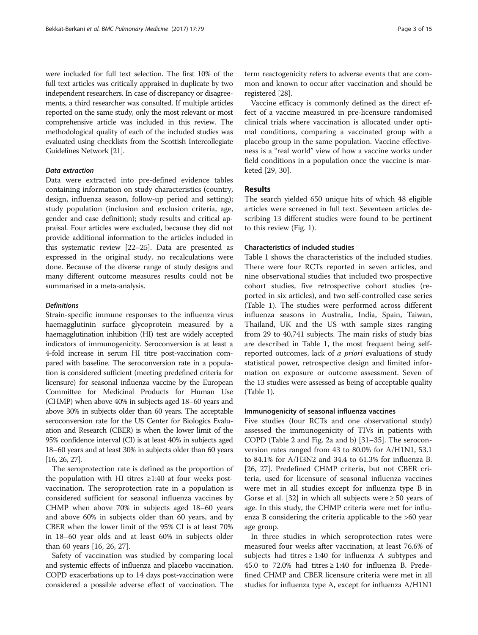were included for full text selection. The first 10% of the full text articles was critically appraised in duplicate by two independent researchers. In case of discrepancy or disagreements, a third researcher was consulted. If multiple articles reported on the same study, only the most relevant or most comprehensive article was included in this review. The methodological quality of each of the included studies was evaluated using checklists from the Scottish Intercollegiate Guidelines Network [\[21](#page-13-0)].

### Data extraction

Data were extracted into pre-defined evidence tables containing information on study characteristics (country, design, influenza season, follow-up period and setting); study population (inclusion and exclusion criteria, age, gender and case definition); study results and critical appraisal. Four articles were excluded, because they did not provide additional information to the articles included in this systematic review [\[22](#page-13-0)–[25](#page-13-0)]. Data are presented as expressed in the original study, no recalculations were done. Because of the diverse range of study designs and many different outcome measures results could not be summarised in a meta-analysis.

#### **Definitions**

Strain-specific immune responses to the influenza virus haemagglutinin surface glycoprotein measured by a haemagglutination inhibition (HI) test are widely accepted indicators of immunogenicity. Seroconversion is at least a 4-fold increase in serum HI titre post-vaccination compared with baseline. The seroconversion rate in a population is considered sufficient (meeting predefined criteria for licensure) for seasonal influenza vaccine by the European Committee for Medicinal Products for Human Use (CHMP) when above 40% in subjects aged 18–60 years and above 30% in subjects older than 60 years. The acceptable seroconversion rate for the US Center for Biologics Evaluation and Research (CBER) is when the lower limit of the 95% confidence interval (CI) is at least 40% in subjects aged 18–60 years and at least 30% in subjects older than 60 years [[16](#page-13-0), [26](#page-13-0), [27](#page-13-0)].

The seroprotection rate is defined as the proportion of the population with HI titres ≥1:40 at four weeks postvaccination. The seroprotection rate in a population is considered sufficient for seasonal influenza vaccines by CHMP when above 70% in subjects aged 18–60 years and above 60% in subjects older than 60 years, and by CBER when the lower limit of the 95% CI is at least 70% in 18–60 year olds and at least 60% in subjects older than 60 years [\[16](#page-13-0), [26](#page-13-0), [27](#page-13-0)].

Safety of vaccination was studied by comparing local and systemic effects of influenza and placebo vaccination. COPD exacerbations up to 14 days post-vaccination were considered a possible adverse effect of vaccination. The

term reactogenicity refers to adverse events that are common and known to occur after vaccination and should be registered [\[28](#page-13-0)].

Vaccine efficacy is commonly defined as the direct effect of a vaccine measured in pre-licensure randomised clinical trials where vaccination is allocated under optimal conditions, comparing a vaccinated group with a placebo group in the same population. Vaccine effectiveness is a "real world" view of how a vaccine works under field conditions in a population once the vaccine is marketed [[29, 30\]](#page-13-0).

## Results

The search yielded 650 unique hits of which 48 eligible articles were screened in full text. Seventeen articles describing 13 different studies were found to be pertinent to this review (Fig. [1\)](#page-3-0).

#### Characteristics of included studies

Table [1](#page-4-0) shows the characteristics of the included studies. There were four RCTs reported in seven articles, and nine observational studies that included two prospective cohort studies, five retrospective cohort studies (reported in six articles), and two self-controlled case series (Table [1\)](#page-4-0). The studies were performed across different influenza seasons in Australia, India, Spain, Taiwan, Thailand, UK and the US with sample sizes ranging from 29 to 40,741 subjects. The main risks of study bias are described in Table [1](#page-4-0), the most frequent being selfreported outcomes, lack of *a priori* evaluations of study statistical power, retrospective design and limited information on exposure or outcome assessment. Seven of the 13 studies were assessed as being of acceptable quality (Table [1](#page-4-0)).

## Immunogenicity of seasonal influenza vaccines

Five studies (four RCTs and one observational study) assessed the immunogenicity of TIVs in patients with COPD (Table [2](#page-6-0) and Fig. [2a and b](#page-7-0)) [\[31](#page-13-0)–[35\]](#page-13-0). The seroconversion rates ranged from 43 to 80.0% for A/H1N1, 53.1 to 84.1% for A/H3N2 and 34.4 to 61.3% for influenza B. [[26, 27\]](#page-13-0). Predefined CHMP criteria, but not CBER criteria, used for licensure of seasonal influenza vaccines were met in all studies except for influenza type B in Gorse et al. [\[32](#page-13-0)] in which all subjects were  $\geq 50$  years of age. In this study, the CHMP criteria were met for influenza B considering the criteria applicable to the >60 year age group.

In three studies in which seroprotection rates were measured four weeks after vaccination, at least 76.6% of subjects had titres  $\geq 1:40$  for influenza A subtypes and 45.0 to 72.0% had titres  $\geq$  1:40 for influenza B. Predefined CHMP and CBER licensure criteria were met in all studies for influenza type A, except for influenza A/H1N1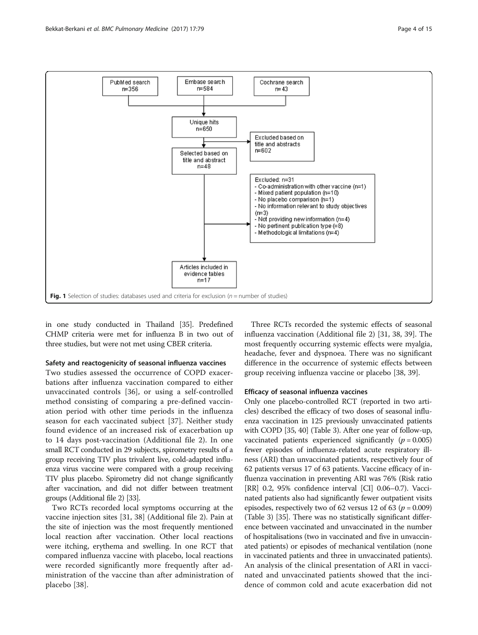<span id="page-3-0"></span>

in one study conducted in Thailand [[35](#page-13-0)]. Predefined CHMP criteria were met for influenza B in two out of three studies, but were not met using CBER criteria.

## Safety and reactogenicity of seasonal influenza vaccines

Two studies assessed the occurrence of COPD exacerbations after influenza vaccination compared to either unvaccinated controls [[36\]](#page-13-0), or using a self-controlled method consisting of comparing a pre-defined vaccination period with other time periods in the influenza season for each vaccinated subject [[37\]](#page-13-0). Neither study found evidence of an increased risk of exacerbation up to 14 days post-vaccination (Additional file [2\)](#page-12-0). In one small RCT conducted in 29 subjects, spirometry results of a group receiving TIV plus trivalent live, cold-adapted influenza virus vaccine were compared with a group receiving TIV plus placebo. Spirometry did not change significantly after vaccination, and did not differ between treatment groups (Additional file [2\)](#page-12-0) [\[33\]](#page-13-0).

Two RCTs recorded local symptoms occurring at the vaccine injection sites [[31](#page-13-0), [38](#page-13-0)] (Additional file [2\)](#page-12-0). Pain at the site of injection was the most frequently mentioned local reaction after vaccination. Other local reactions were itching, erythema and swelling. In one RCT that compared influenza vaccine with placebo, local reactions were recorded significantly more frequently after administration of the vaccine than after administration of placebo [[38\]](#page-13-0).

Three RCTs recorded the systemic effects of seasonal influenza vaccination (Additional file [2](#page-12-0)) [[31, 38, 39\]](#page-13-0). The most frequently occurring systemic effects were myalgia, headache, fever and dyspnoea. There was no significant difference in the occurrence of systemic effects between group receiving influenza vaccine or placebo [[38](#page-13-0), [39](#page-13-0)].

## Efficacy of seasonal influenza vaccines

Only one placebo-controlled RCT (reported in two articles) described the efficacy of two doses of seasonal influenza vaccination in 125 previously unvaccinated patients with COPD [\[35](#page-13-0), [40](#page-13-0)] (Table [3\)](#page-8-0). After one year of follow-up, vaccinated patients experienced significantly  $(p = 0.005)$ fewer episodes of influenza-related acute respiratory illness (ARI) than unvaccinated patients, respectively four of 62 patients versus 17 of 63 patients. Vaccine efficacy of influenza vaccination in preventing ARI was 76% (Risk ratio [RR] 0.2, 95% confidence interval [CI] 0.06–0.7). Vaccinated patients also had significantly fewer outpatient visits episodes, respectively two of 62 versus 12 of 63 ( $p = 0.009$ ) (Table [3\)](#page-8-0) [[35](#page-13-0)]. There was no statistically significant difference between vaccinated and unvaccinated in the number of hospitalisations (two in vaccinated and five in unvaccinated patients) or episodes of mechanical ventilation (none in vaccinated patients and three in unvaccinated patients). An analysis of the clinical presentation of ARI in vaccinated and unvaccinated patients showed that the incidence of common cold and acute exacerbation did not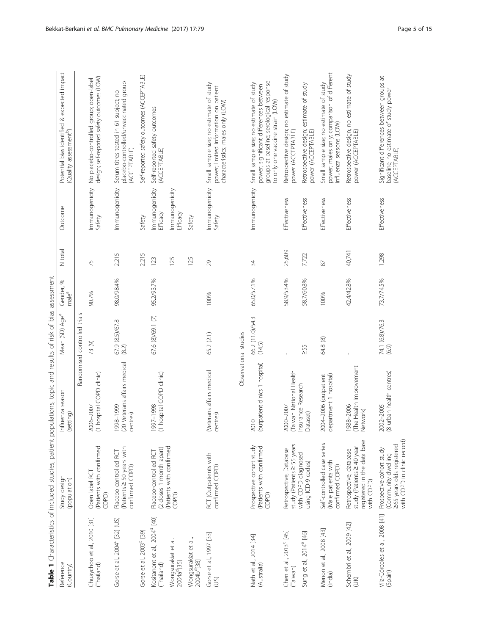<span id="page-4-0"></span>

|                                                         |                                                                                                             | Table 1 Characteristics of included studies, patient populations, topic and results of risk of bias assessment |                              |                       |            |                            |                                                                                                                                                                   |
|---------------------------------------------------------|-------------------------------------------------------------------------------------------------------------|----------------------------------------------------------------------------------------------------------------|------------------------------|-----------------------|------------|----------------------------|-------------------------------------------------------------------------------------------------------------------------------------------------------------------|
| Reference<br>(Country)                                  | Study design<br>(population)                                                                                | nfluenza season<br>setting)                                                                                    | Mean (SD) Age <sup>a</sup>   | ℅<br>Gender,<br>maleª | N total    | Outcome                    | Potential bias identified & expected impact<br>(Quality assessment <sup>b</sup> )                                                                                 |
|                                                         |                                                                                                             |                                                                                                                | Randomised controlled trials |                       |            |                            |                                                                                                                                                                   |
| Chuaychoo et al., 2010 [31]<br>(Thailand)               | (Patients with confirmed<br>Open label RCT<br>COPD)                                                         | 1 hospital COPD clinic)<br>2006-2007                                                                           | 73 (9)                       | 90.7%                 | 75         | Immunogenicity<br>Safety   | design; self-reported safety outcomes (LOW)<br>No placebo-controlled group; open-label                                                                            |
| Gorse et al., 2004 <sup>c</sup> [32] (US)               | (Patients ≥ 50 years with<br>Placebo-controlled RCT<br>confirmed COPD)                                      | 20 Veterans affairs medical<br>998-1999<br>centres)                                                            | 67.9 (8.5)/67.8<br>(8.2)     | 98.0/98.4%            | 2,215      | Immunogenicity             | placebo-controlled/unvaccinated group<br>Serum titres tested in 61 subject; no<br>(ACCEPTABLE)                                                                    |
| Gorse et al., 2003 <sup>c</sup> [39]                    |                                                                                                             |                                                                                                                |                              |                       | 2,215      | Safety                     | Self-reported safety outcomes (ACCEPTABLE)                                                                                                                        |
| Kositanont et al., 2004 <sup>d</sup> [40]<br>(Thailand) | (2 doses 1 month apart)<br>Placebo-controlled RC                                                            | 1 hospital COPD clinic)<br>997-1998                                                                            | 67.6 (8)/69.1 (7)            | 95.2/93.7%            | 123        | Immunogenicity<br>Efficacy | Self-reported safety outcomes<br>(ACCEPTABLE)                                                                                                                     |
| Wongsurakiat et al.<br>2004a <sup>d</sup> [35]          | (Patients with confirmed<br>COPD)                                                                           |                                                                                                                |                              |                       | 125        | Immunogenicity<br>Efficacy |                                                                                                                                                                   |
| Wongsurakiat et al.,<br>2004b <sup>d</sup> [38]         |                                                                                                             |                                                                                                                |                              |                       | 125        | Safety                     |                                                                                                                                                                   |
| Gorse et al., 1997 [33]<br>(US)                         | RCT (Outpatients with<br>confirmed COPD)                                                                    | (Veterans affairs medical<br>centres)                                                                          | 65.2 (2.1)                   | 100%                  | 29         | Immunogenicity<br>Safety   | Small sample size; no estimate of study<br>power; limited information on patient<br>characteristics; males only (LOW)                                             |
|                                                         |                                                                                                             | Observational studies                                                                                          |                              |                       |            |                            |                                                                                                                                                                   |
| Nath et al., 2014 [34]<br>(Australia)                   | Prospective cohort study<br>(Patients with confirmed<br>COPD)                                               | (outpatient clinics 1 hospital)<br>2010                                                                        | 66.2 (11.0)/54.3<br>(14.5)   | 65.0/57.1%            | 34         | Immunogenicity             | groups at baseline; serological response<br>Small sample size; no estimate of study<br>power; significant differences between<br>to only one vaccine strain (LOW) |
| Chen et al, 2013 <sup>e</sup> [45]<br>(Taiwan)          | study (Patients ≥ 55 years<br>Retrospective, Database                                                       | Taiwan National Health<br>2000-2007                                                                            |                              | 58.9/53.4%            | 25,609     | Effectiveness              | Retrospective design; no estimate of study<br>power (ACCEPTABLE)                                                                                                  |
| Sung et al., 2014 <sup>e</sup> [46]                     | with COPD diagnosed<br>using ICD-9 codes)                                                                   | nsurance Research<br><b>Dataset</b>                                                                            | 255                          | 58.7/60.8%            | 7,722      | Effectiveness              | Retrospective design; estimate of study<br>power (ACCEPTABLE)                                                                                                     |
| Menon et al., 2008 [43]<br>(India)                      | Self-controlled case series<br>Male patients with<br>confirmed COPD)                                        | department 1 hospital)<br>2004-2006 (outpatient                                                                | 64.8 (8)                     | 100%                  | $\sqrt{8}$ | Effectiveness              | power; males only; comparison of different<br>Small sample size; no estimate of study<br>influenza seasons (LOW)                                                  |
| Schembri et al., 2009 [42]<br><b>SUD</b>                | registered in the data base<br>study (Patients ≥ 40 year<br>Retrospective, database<br>with COPD)           | The Health Improvement<br>1988-2006<br>vetwork)                                                                |                              | 42.4/42.8%            | 40,741     | Effectiveness              | Retrospective design; no estimate of study<br>power (ACCEPTABLE)                                                                                                  |
| Vila-Córcoles et al., 2008 [41]<br>(Spain)              | 265 years olds registered<br>with COPD in clinic record)<br>Prospective cohort study<br>(Community-dwelling | (8 urban health centres)<br>2002-2005                                                                          | 74.1 (6.8)/76.3<br>(6.9)     | 73.7/74.5%            | 1,298      | Effectiveness              | Significant differences between groups at<br>baseline; no estimate of study power<br>(ACCEPTABLE)                                                                 |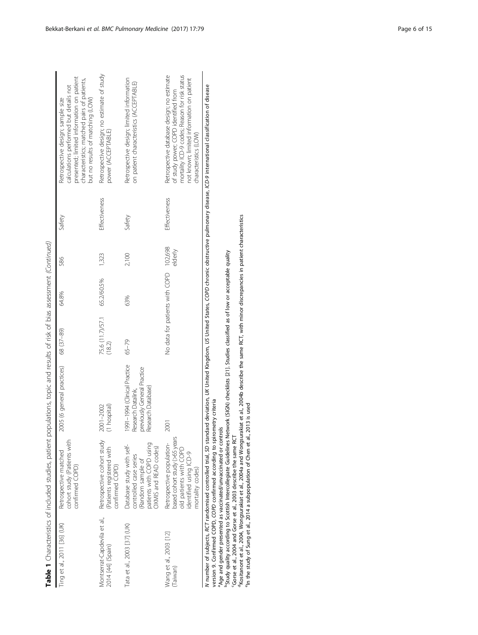| Ting et al., 2011 [36] (UK)                       | Table 1 Characteristics of included studies, patient populations, topic and results of risk of bias assessment (Continued)<br>cohort study (Patients with<br>Retrospective matched<br>confirmed (COPD)                                                                                                                                                                                                                                                                                                                                                                                                                                  | 2005 (6 general practices)                                                                            | 68 (37-89)                     | 64.8%      | 586                | Safety        | presented; limited information on patient<br>characteristics; matched pairs of patients,<br>calculations performed but details not<br>but no results of matching (LOW)<br>Retrospective design; sample size  |
|---------------------------------------------------|-----------------------------------------------------------------------------------------------------------------------------------------------------------------------------------------------------------------------------------------------------------------------------------------------------------------------------------------------------------------------------------------------------------------------------------------------------------------------------------------------------------------------------------------------------------------------------------------------------------------------------------------|-------------------------------------------------------------------------------------------------------|--------------------------------|------------|--------------------|---------------|--------------------------------------------------------------------------------------------------------------------------------------------------------------------------------------------------------------|
| Montserrat-Capdevila et al.,<br>2014 [44] (Spain) | Retrospective cohort study<br>(Patients registered with<br>confirmed COPD)                                                                                                                                                                                                                                                                                                                                                                                                                                                                                                                                                              | 1 hospital)<br>001-2002                                                                               | 75.6 (11.7)/57.1<br>(18.2)     | 65.2/60.5% | 1,323              | Effectiveness | Retrospective design; no estimate of study<br>power (ACCEPTABLE)                                                                                                                                             |
| Tata et al., 2003 [37] (UK)                       | patients with COPD using<br>Database study with self-<br>OXMIS and READ codes)<br>controlled case series<br>(Random sample of                                                                                                                                                                                                                                                                                                                                                                                                                                                                                                           | 991-1994 (Clinical Practice<br>reviously General Practice<br>Research Database)<br>lesearch Datalink, | $65 - 79$                      | 63%        | 2,100              | Safety        | Retrospective design; limited information<br>on patient characteristics (ACCEPTABLE)                                                                                                                         |
| Wang et al., 2003 [12]<br>(Taiwan)                | based cohort study (>65 years<br>Retrospective population-<br>old patients with COPD<br>identified using ICD-9<br>mortality codes)                                                                                                                                                                                                                                                                                                                                                                                                                                                                                                      | 2001                                                                                                  | No data for patients with COPD |            | 102,698<br>elderly | Effectiveness | Retrospective database design; no estimate<br>mortality ICD-9 codes; Reason for risk status<br>not known; limited information on patient<br>of study power; COPD identified from<br>characteristics (LOW)    |
|                                                   | <sup>0</sup> Kositanont et al., 2004, Wongsurakiat et al., 2004a and Wongsurakiat et al., 2004b describe the same RCT, with minor discrepancies in patient characteristics<br>"Study quality according to Scottish Intercollegiate Guidelines Network (SIGN) checklists [21]. Studies classified as of low or acceptable quality<br>version 9. Confirmed COPD, COPD confirmed according to spirometry criteria<br>In the study of Sung et al., 2014 a subpopulation of Chen et al., 2013 is used<br>Age and gender presented as vaccinated/unvaccinated or controls<br>'Gorse et al., 2004 and Gorse et al., 2003 describe the same RCT |                                                                                                       |                                |            |                    |               | N number of subjects, RCT randomised controlled trial, SD standard deviation, UK United Kingdom, US United States, COPD chronic obstructive pulmonary disease, ICD-9 international classification of disease |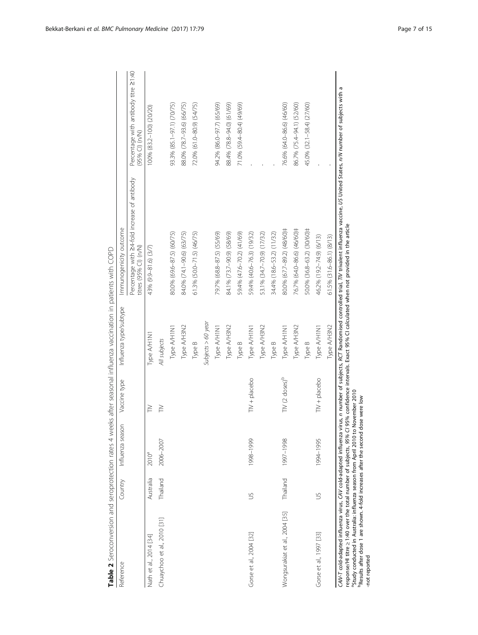<span id="page-6-0"></span>

| <b>CONSTRUCTED IN A SUBSTRATE AND INTERNATIONAL CONSTRUCTED IN A SUBSTRATEGY OF A SUBSTRATEGY OF A SUBSTRATEGY OF A SUBSTRATEGY OF DUTIES WILL A SUBSTRATEGY OF A SUBSTRATEGY OF A SUBSTRATEGY OF A SUBSTRATEGY OF A SUBSTRATEG</b> |           |                   |                            |                        |                                                                                                                                                |                                                        |
|-------------------------------------------------------------------------------------------------------------------------------------------------------------------------------------------------------------------------------------|-----------|-------------------|----------------------------|------------------------|------------------------------------------------------------------------------------------------------------------------------------------------|--------------------------------------------------------|
| Reference                                                                                                                                                                                                                           | Country   | Influenza season  | Vaccine type               | Influenza type/subtype | Immunogenicity outcome                                                                                                                         |                                                        |
|                                                                                                                                                                                                                                     |           |                   |                            |                        | Percentage with 24-fold increase of antibody<br>titres (95% CI) (n/N)                                                                          | Percentage with antibody titre ≥1:40<br>(95% CI) (n/N) |
| Nath et al., 2014 [34]                                                                                                                                                                                                              | Australia | 2010 <sup>3</sup> | $\geq$                     | Type A/H1N1            | 43% (9.9-81.6) (3/7)                                                                                                                           | 100% (83.2-100) (20/20)                                |
| Chuaychoo et al., 2010 [31]                                                                                                                                                                                                         | Thailand  | 2006-2007         | $\geq$                     | All subjects           |                                                                                                                                                |                                                        |
|                                                                                                                                                                                                                                     |           |                   |                            | Type A/H1N1            | 80.0% (69.6-87.5) (60/75)                                                                                                                      | 93.3% (85.1-97.1) (70/75)                              |
|                                                                                                                                                                                                                                     |           |                   |                            | Type A/H3N2            | 84.0% (74.1-90.6) (63/75)                                                                                                                      | 88.0% (78.7-93.6) (66/75)                              |
|                                                                                                                                                                                                                                     |           |                   |                            | Type B                 | $61.3\%$ (50.0-71.5) (46/75)                                                                                                                   | 72.0% (61.0-80.9) (54/75)                              |
|                                                                                                                                                                                                                                     |           |                   |                            | Subjects > 60 year     |                                                                                                                                                |                                                        |
|                                                                                                                                                                                                                                     |           |                   |                            | Type A/H1N1            | 79.7% (68.8-87.5) (55/69)                                                                                                                      | 94.2% (86.0-97.7) (65/69)                              |
|                                                                                                                                                                                                                                     |           |                   |                            | Type A/H3N2            | 84.1% (73.7-90.9) (58/69)                                                                                                                      | 88.4% (78.8-94.0) (61/69)                              |
|                                                                                                                                                                                                                                     |           |                   |                            | Type B                 | 59.4% (47.6-70.2) (41/69)                                                                                                                      | 71.0% (59.4-80.4) (49/69)                              |
| Gorse et al., 2004 [32]                                                                                                                                                                                                             | S         | 1998-1999         | $TIV + placebo$            | Type A/H1N1            | 59.4% (40.6-76.3) (19/32)                                                                                                                      |                                                        |
|                                                                                                                                                                                                                                     |           |                   |                            | Type A/H3N2            | 53.1% (34.7-70.9) (17/32)                                                                                                                      |                                                        |
|                                                                                                                                                                                                                                     |           |                   |                            | Type B                 | 34.4% (18.6-53.2) (11/32)                                                                                                                      |                                                        |
| Wongsurakiat et al., 2004 [35]                                                                                                                                                                                                      | Thailand  | 1997-1998         | TIV (2 doses) <sup>b</sup> | Type A/H1N1            | 80.0% (67.7-89.2) (48/60)#                                                                                                                     | 76.6% (64.0-86.6) (46/60)                              |
|                                                                                                                                                                                                                                     |           |                   |                            | Type A/H3N2            | 76.7% (64.0-86.6) (46/60)‡                                                                                                                     | 86.7% (75.4–94.1) (52/60)                              |
|                                                                                                                                                                                                                                     |           |                   |                            | Type B                 | 50.0% (36.8-63.2) (30/60)#                                                                                                                     | 45.0% (32.1-58.4) (27/60)                              |
| Gorse et al., 1997 [33]                                                                                                                                                                                                             | S         | 1994-1995         | $TIV + placebo$            | Type A/H1N1            | 46.2% (19.2-74.9) (6/13)                                                                                                                       |                                                        |
|                                                                                                                                                                                                                                     |           |                   |                            | Type A/H3N2            | $61.5\%$ $(31.6-86.1)$ $(8/13)$                                                                                                                |                                                        |
| CAIV-T cold-adapted influenza virus, CAV cold-adapted influenza                                                                                                                                                                     |           |                   |                            |                        | virus, n number of subjects, RCT Randomised controlled trial, TIV trivalent influenza vaccine, US United States, n/N number of subjects with a |                                                        |

vaccination in patients with COPD Table 2 Seroconversion and seroprotection rates 4 weeks after seasonal influenza vaccination in patients with COPD rates 4 weeks after spachal influence **Table 2** Seroconversion and seroprotection

*CAIV-T* cold-adapted influenza virus, CAV cold-adapted influenza virus, n number of subjects, RCT Randomised controlled trial, TIV trivalent influenza va<br>response/HI titre ≥ 1:40 over the total number of subjects, 95% CJ response/HI titre ≥ 1:40 over the total number of subjects, 95% CI 95% confidence intervals. Exact 95% CI calculated when not provided in the article aStudy conducted in Australia: influenza season from April 2010 to November 2010

bResults after dose 1 are shown. 4-fold increases after the second dose were low

-not reported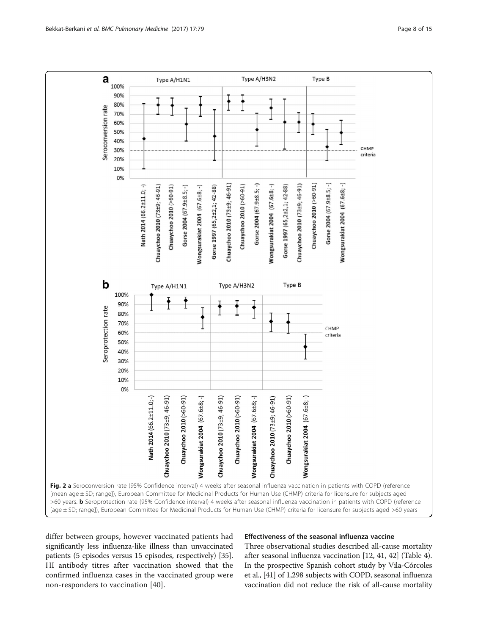<span id="page-7-0"></span>

differ between groups, however vaccinated patients had significantly less influenza-like illness than unvaccinated patients (5 episodes versus 15 episodes, respectively) [[35](#page-13-0)]. HI antibody titres after vaccination showed that the confirmed influenza cases in the vaccinated group were non-responders to vaccination [\[40](#page-13-0)].

## Effectiveness of the seasonal influenza vaccine

Three observational studies described all-cause mortality after seasonal influenza vaccination [[12, 41, 42](#page-13-0)] (Table [4](#page-9-0)). In the prospective Spanish cohort study by Vila-Córcoles et al., [\[41\]](#page-13-0) of 1,298 subjects with COPD, seasonal influenza vaccination did not reduce the risk of all-cause mortality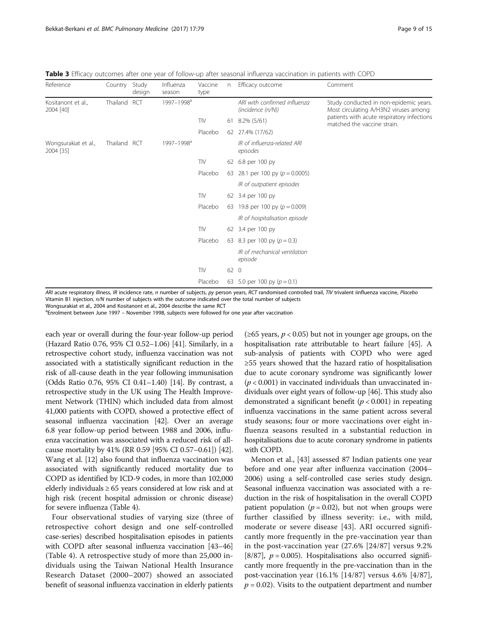| Reference                         | Country      | Study<br>design | Influenza<br>season    | Vaccine<br>type | $\Gamma$ | Efficacy outcome                                  | Comment                                                                         |
|-----------------------------------|--------------|-----------------|------------------------|-----------------|----------|---------------------------------------------------|---------------------------------------------------------------------------------|
| Kositanont et al.,<br>2004 [40]   | Thailand     | <b>RCT</b>      | $1997 - 1998^a$        |                 |          | ARI with confirmed influenza<br>(incidence (n/N)) | Study conducted in non-epidemic years.<br>Most circulating A/H3N2 viruses among |
|                                   |              |                 |                        | TIV             |          | 61 8.2% (5/61)                                    | patients with acute respiratory infections<br>matched the vaccine strain.       |
|                                   |              |                 |                        | Placebo         |          | 62 27.4% (17/62)                                  |                                                                                 |
| Wongsurakiat et al.,<br>2004 [35] | Thailand RCT |                 | 1997-1998 <sup>a</sup> |                 |          | IR of influenza-related ARI<br>episodes           |                                                                                 |
|                                   |              |                 |                        | TIV             |          | 62 6.8 per 100 py                                 |                                                                                 |
|                                   |              |                 |                        | Placebo         |          | 63 28.1 per 100 py ( $p = 0.0005$ )               |                                                                                 |
|                                   |              |                 |                        |                 |          | IR of outpatient episodes                         |                                                                                 |
|                                   |              |                 |                        | TIV             |          | 62 3.4 per 100 py                                 |                                                                                 |
|                                   |              |                 |                        | Placebo         |          | 63 19.8 per 100 py ( $p = 0.009$ )                |                                                                                 |
|                                   |              |                 |                        |                 |          | IR of hospitalisation episode                     |                                                                                 |
|                                   |              |                 |                        | TIV             |          | 62 3.4 per 100 py                                 |                                                                                 |
|                                   |              |                 |                        | Placebo         |          | 63 8.3 per 100 py ( $p = 0.3$ )                   |                                                                                 |
|                                   |              |                 |                        |                 |          | IR of mechanical ventilation<br>episode           |                                                                                 |
|                                   |              |                 |                        | TIV             | 62 0     |                                                   |                                                                                 |
|                                   |              |                 |                        | Placebo         |          | 63 5.0 per 100 py ( $p = 0.1$ )                   |                                                                                 |

<span id="page-8-0"></span>Table 3 Efficacy outcomes after one year of follow-up after seasonal influenza vaccination in patients with COPD

ARI acute respiratory illness, IR incidence rate, n number of subjects, py person years, RCT randomised controlled trail, TIV trivalent iinfluenza vaccine, Placebo Vitamin B1 injection, n/N number of subjects with the outcome indicated over the total number of subjects

Wongsurakiat et al., 2004 and Kositanont et al., 2004 describe the same RCT

<sup>a</sup>Enrolment between June 1997 – November 1998, subjects were followed for one year after vaccination

each year or overall during the four-year follow-up period (Hazard Ratio 0.76, 95% CI 0.52–1.06) [\[41](#page-13-0)]. Similarly, in a retrospective cohort study, influenza vaccination was not associated with a statistically significant reduction in the risk of all-cause death in the year following immunisation (Odds Ratio 0.76, 95% CI 0.41–1.40) [\[14\]](#page-13-0). By contrast, a retrospective study in the UK using The Health Improvement Network (THIN) which included data from almost 41,000 patients with COPD, showed a protective effect of seasonal influenza vaccination [[42](#page-13-0)]. Over an average 6.8 year follow-up period between 1988 and 2006, influenza vaccination was associated with a reduced risk of allcause mortality by 41% (RR 0.59 [95% CI 0.57–0.61]) [[42](#page-13-0)]. Wang et al. [\[12\]](#page-13-0) also found that influenza vaccination was associated with significantly reduced mortality due to COPD as identified by ICD-9 codes, in more than 102,000 elderly individuals  $\geq 65$  years considered at low risk and at high risk (recent hospital admission or chronic disease) for severe influenza (Table [4](#page-9-0)).

Four observational studies of varying size (three of retrospective cohort design and one self-controlled case-series) described hospitalisation episodes in patients with COPD after seasonal influenza vaccination [\[43](#page-13-0)–[46](#page-14-0)] (Table [4\)](#page-9-0). A retrospective study of more than 25,000 individuals using the Taiwan National Health Insurance Research Dataset (2000–2007) showed an associated benefit of seasonal influenza vaccination in elderly patients

 $(\geq 65 \text{ years}, p < 0.05)$  but not in younger age groups, on the hospitalisation rate attributable to heart failure [[45](#page-14-0)]. A sub-analysis of patients with COPD who were aged ≥55 years showed that the hazard ratio of hospitalisation due to acute coronary syndrome was significantly lower  $(p < 0.001)$  in vaccinated individuals than unvaccinated individuals over eight years of follow-up [[46](#page-14-0)]. This study also demonstrated a significant benefit ( $p < 0.001$ ) in repeating influenza vaccinations in the same patient across several study seasons; four or more vaccinations over eight influenza seasons resulted in a substantial reduction in hospitalisations due to acute coronary syndrome in patients with COPD.

Menon et al., [\[43](#page-13-0)] assessed 87 Indian patients one year before and one year after influenza vaccination (2004– 2006) using a self-controlled case series study design. Seasonal influenza vaccination was associated with a reduction in the risk of hospitalisation in the overall COPD patient population ( $p = 0.02$ ), but not when groups were further classified by illness severity: i.e., with mild, moderate or severe disease [\[43](#page-13-0)]. ARI occurred significantly more frequently in the pre-vaccination year than in the post-vaccination year (27.6% [24/87] versus 9.2% [8/87],  $p = 0.005$ ). Hospitalisations also occurred significantly more frequently in the pre-vaccination than in the post-vaccination year (16.1% [14/87] versus 4.6% [4/87],  $p = 0.02$ ). Visits to the outpatient department and number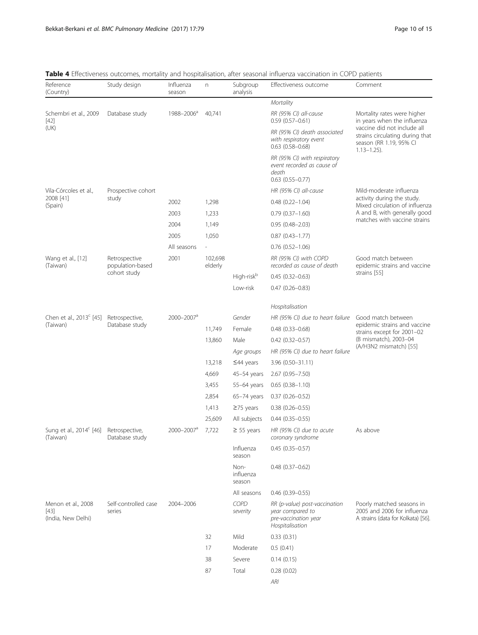<span id="page-9-0"></span>

| Table 4 Effectiveness outcomes, mortality and hospitalisation, after seasonal influenza vaccination in COPD patients |  |
|----------------------------------------------------------------------------------------------------------------------|--|
|----------------------------------------------------------------------------------------------------------------------|--|

| Reference<br>(Country)                             | Study design                      | Influenza<br>season    | n                        | Subgroup<br>analysis        | Effectiveness outcome                                                                         | Comment                                                                                                       |
|----------------------------------------------------|-----------------------------------|------------------------|--------------------------|-----------------------------|-----------------------------------------------------------------------------------------------|---------------------------------------------------------------------------------------------------------------|
|                                                    |                                   |                        |                          |                             | Mortality                                                                                     |                                                                                                               |
| Schembri et al., 2009<br>[42]                      | Database study                    | 1988-2006 <sup>a</sup> | 40,741                   |                             | RR (95% CI) all-cause<br>$0.59(0.57 - 0.61)$                                                  | Mortality rates were higher<br>in years when the influenza                                                    |
| (UK)                                               |                                   |                        |                          |                             | RR (95% CI) death associated<br>with respiratory event<br>$0.63$ $(0.58 - 0.68)$              | vaccine did not include all<br>strains circulating during that<br>season (RR 1.19, 95% CI<br>$1.13 - 1.25$ ). |
|                                                    |                                   |                        |                          |                             | RR (95% CI) with respiratory<br>event recorded as cause of<br>death<br>$0.63$ $(0.55 - 0.77)$ |                                                                                                               |
| Vila-Córcoles et al.,                              | Prospective cohort                |                        |                          |                             | HR (95% CI) all-cause                                                                         | Mild-moderate influenza                                                                                       |
| 2008 [41]                                          | study                             | 2002                   | 1,298                    |                             | $0.48(0.22 - 1.04)$                                                                           | activity during the study.                                                                                    |
| (Spain)                                            |                                   | 2003                   | 1,233                    |                             | $0.79(0.37 - 1.60)$                                                                           | Mixed circulation of influenza<br>A and B, with generally good                                                |
|                                                    |                                   | 2004                   | 1,149                    |                             | $0.95(0.48 - 2.03)$                                                                           | matches with vaccine strains                                                                                  |
|                                                    |                                   | 2005                   | 1,050                    |                             | $0.87(0.43 - 1.77)$                                                                           |                                                                                                               |
|                                                    |                                   | All seasons            | $\overline{\phantom{a}}$ |                             | $0.76$ $(0.52 - 1.06)$                                                                        |                                                                                                               |
| Wang et al., [12]<br>(Taiwan)                      | Retrospective<br>population-based | 2001                   | 102.698<br>elderly       |                             | RR (95% CI) with COPD<br>recorded as cause of death                                           | Good match between<br>epidemic strains and vaccine                                                            |
|                                                    | cohort study                      |                        |                          | High-risk <sup>b</sup>      | $0.45(0.32 - 0.63)$                                                                           | strains [55]                                                                                                  |
|                                                    |                                   |                        |                          | Low-risk                    | $0.47(0.26 - 0.83)$                                                                           |                                                                                                               |
|                                                    |                                   |                        |                          |                             |                                                                                               |                                                                                                               |
|                                                    |                                   |                        |                          |                             | Hospitalisation                                                                               |                                                                                                               |
| Chen et al., 2013 <sup>c</sup> [45]                | Retrospective,                    | 2000-2007 <sup>a</sup> |                          | Gender                      | HR (95% CI) due to heart failure                                                              | Good match between                                                                                            |
| (Taiwan)                                           | Database study                    |                        | 11,749                   | Female                      | $0.48$ $(0.33 - 0.68)$                                                                        | epidemic strains and vaccine<br>strains except for 2001-02                                                    |
|                                                    |                                   |                        | 13,860                   | Male                        | $0.42$ (0.32-0.57)                                                                            | (B mismatch), 2003-04                                                                                         |
|                                                    |                                   |                        |                          | Age groups                  | HR (95% CI) due to heart failure                                                              | (A/H3N2 mismatch) [55]                                                                                        |
|                                                    |                                   |                        | 13,218                   | $\leq$ 44 years             | 3.96 (0.50-31.11)                                                                             |                                                                                                               |
|                                                    |                                   |                        | 4,669                    | $45-54$ years               | $2.67(0.95 - 7.50)$                                                                           |                                                                                                               |
|                                                    |                                   |                        | 3,455                    | 55-64 years                 | $0.65$ $(0.38 - 1.10)$                                                                        |                                                                                                               |
|                                                    |                                   |                        | 2,854                    | 65-74 years                 | $0.37(0.26 - 0.52)$                                                                           |                                                                                                               |
|                                                    |                                   |                        | 1,413                    | $\geq$ 75 years             | $0.38(0.26 - 0.55)$                                                                           |                                                                                                               |
|                                                    |                                   |                        | 25,609                   | All subjects                | $0.44(0.35 - 0.55)$                                                                           |                                                                                                               |
| Sung et al., 2014 <sup>c</sup> [46]<br>(Taiwan)    | Retrospective,<br>Database study  | 2000-2007 <sup>a</sup> | 7,722                    | $\geq$ 55 years             | HR (95% CI) due to acute<br>coronary syndrome                                                 | As above                                                                                                      |
|                                                    |                                   |                        |                          | Influenza<br>season         | $0.45(0.35-0.57)$                                                                             |                                                                                                               |
|                                                    |                                   |                        |                          | Non-<br>influenza<br>season | $0.48(0.37-0.62)$                                                                             |                                                                                                               |
|                                                    |                                   |                        |                          | All seasons                 | $0.46$ $(0.39 - 0.55)$                                                                        |                                                                                                               |
| Menon et al., 2008<br>$[43]$<br>(India, New Delhi) | Self-controlled case<br>series    | 2004-2006              |                          | <b>COPD</b><br>severity     | RR (p-value) post-vaccination<br>year compared to<br>pre-vaccination year<br>Hospitalisation  | Poorly matched seasons in<br>2005 and 2006 for influenza<br>A strains (data for Kolkata) [56].                |
|                                                    |                                   |                        | 32                       | Mild                        | 0.33(0.31)                                                                                    |                                                                                                               |
|                                                    |                                   |                        | 17                       | Moderate                    | 0.5(0.41)                                                                                     |                                                                                                               |
|                                                    |                                   |                        | 38                       | Severe                      | 0.14(0.15)                                                                                    |                                                                                                               |
|                                                    |                                   |                        | 87                       | Total                       | 0.28(0.02)                                                                                    |                                                                                                               |
|                                                    |                                   |                        |                          |                             | ARI                                                                                           |                                                                                                               |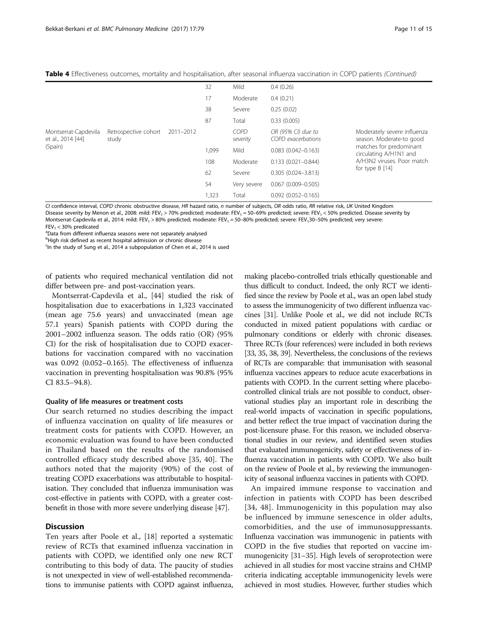|  |  | Table 4 Effectiveness outcomes, mortality and hospitalisation, after seasonal influenza vaccination in COPD patients (Continued) |  |
|--|--|----------------------------------------------------------------------------------------------------------------------------------|--|
|--|--|----------------------------------------------------------------------------------------------------------------------------------|--|

|                                           |                               |           | 32    | Mild                    | 0.4(0.26)                                |                                                         |
|-------------------------------------------|-------------------------------|-----------|-------|-------------------------|------------------------------------------|---------------------------------------------------------|
|                                           |                               |           | 17    | Moderate                | 0.4(0.21)                                |                                                         |
|                                           |                               |           | 38    | Severe                  | 0.25(0.02)                               |                                                         |
|                                           |                               |           | 87    | Total                   | 0.33(0.005)                              |                                                         |
| Montserrat-Capdevila<br>et al., 2014 [44] | Retrospective cohort<br>study | 2011-2012 |       | <b>COPD</b><br>severity | OR (95% CI) due to<br>COPD exacerbations | Moderately severe influenza<br>season. Moderate-to good |
| (Spain)                                   |                               |           | 1,099 | Mild                    | $0.083$ (0.042-0.163)                    | matches for predominant<br>circulating A/H1N1 and       |
|                                           |                               |           | 108   | Moderate                | $0.133(0.021 - 0.844)$                   | A/H3N2 viruses. Poor match                              |
|                                           |                               |           | 62    | Severe                  | $0.305(0.024 - 3.813)$                   | for type $B$ [14]                                       |
|                                           |                               |           | 54    | Very severe             | $0.067(0.009 - 0.505)$                   |                                                         |
|                                           |                               |           | 1,323 | Total                   | $0.092(0.052 - 0.165)$                   |                                                         |

CI confidence interval, COPD chronic obstructive disease, HR hazard ratio, n number of subjects, OR odds ratio, RR relative risk, UK United Kingdom Disease severity by Menon et al., 2008: mild: FEV<sub>1</sub> > 70% predicted; moderate: FEV<sub>1</sub> = 50-69% predicted; severe: FEV<sub>1</sub> < 50% predicted. Disease severity by Montserrat-Capdevila et al., 2014: mild: FEV<sub>1</sub> > 80% predicted; moderate: FEV<sub>1</sub> = 50-80% predicted; severe: FEV<sub>1</sub>30-50% predicted; very severe:

 $FEV_1 < 30\%$  predicated

<sup>a</sup>Data from different influenza seasons were not separately analysed

<sup>b</sup>High risk defined as recent hospital admission or chronic disease

<sup>c</sup>In the study of Sung et al., 2014 a subpopulation of Chen et al., 2014 is used

of patients who required mechanical ventilation did not differ between pre- and post-vaccination years.

Montserrat-Capdevila et al., [[44](#page-13-0)] studied the risk of hospitalisation due to exacerbations in 1,323 vaccinated (mean age 75.6 years) and unvaccinated (mean age 57.1 years) Spanish patients with COPD during the 2001–2002 influenza season. The odds ratio (OR) (95% CI) for the risk of hospitalisation due to COPD exacerbations for vaccination compared with no vaccination was 0.092 (0.052–0.165). The effectiveness of influenza vaccination in preventing hospitalisation was 90.8% (95% CI 83.5–94.8).

#### Quality of life measures or treatment costs

Our search returned no studies describing the impact of influenza vaccination on quality of life measures or treatment costs for patients with COPD. However, an economic evaluation was found to have been conducted in Thailand based on the results of the randomised controlled efficacy study described above [[35, 40\]](#page-13-0). The authors noted that the majority (90%) of the cost of treating COPD exacerbations was attributable to hospitalisation. They concluded that influenza immunisation was cost-effective in patients with COPD, with a greater costbenefit in those with more severe underlying disease [\[47\]](#page-14-0).

## **Discussion**

Ten years after Poole et al., [[18\]](#page-13-0) reported a systematic review of RCTs that examined influenza vaccination in patients with COPD, we identified only one new RCT contributing to this body of data. The paucity of studies is not unexpected in view of well-established recommendations to immunise patients with COPD against influenza, making placebo-controlled trials ethically questionable and thus difficult to conduct. Indeed, the only RCT we identified since the review by Poole et al., was an open label study to assess the immunogenicity of two different influenza vaccines [\[31](#page-13-0)]. Unlike Poole et al., we did not include RCTs conducted in mixed patient populations with cardiac or pulmonary conditions or elderly with chronic diseases. Three RCTs (four references) were included in both reviews [[33](#page-13-0), [35](#page-13-0), [38](#page-13-0), [39](#page-13-0)]. Nevertheless, the conclusions of the reviews of RCTs are comparable: that immunisation with seasonal influenza vaccines appears to reduce acute exacerbations in patients with COPD. In the current setting where placebocontrolled clinical trials are not possible to conduct, observational studies play an important role in describing the real-world impacts of vaccination in specific populations, and better reflect the true impact of vaccination during the post-licensure phase. For this reason, we included observational studies in our review, and identified seven studies that evaluated immunogenicity, safety or effectiveness of influenza vaccination in patients with COPD. We also built on the review of Poole et al., by reviewing the immunogenicity of seasonal influenza vaccines in patients with COPD.

An impaired immune response to vaccination and infection in patients with COPD has been described [[34](#page-13-0), [48\]](#page-14-0). Immunogenicity in this population may also be influenced by immune senescence in older adults, comorbidities, and the use of immunosuppressants. Influenza vaccination was immunogenic in patients with COPD in the five studies that reported on vaccine immunogenicity [[31](#page-13-0)–[35\]](#page-13-0). High levels of seroprotection were achieved in all studies for most vaccine strains and CHMP criteria indicating acceptable immunogenicity levels were achieved in most studies. However, further studies which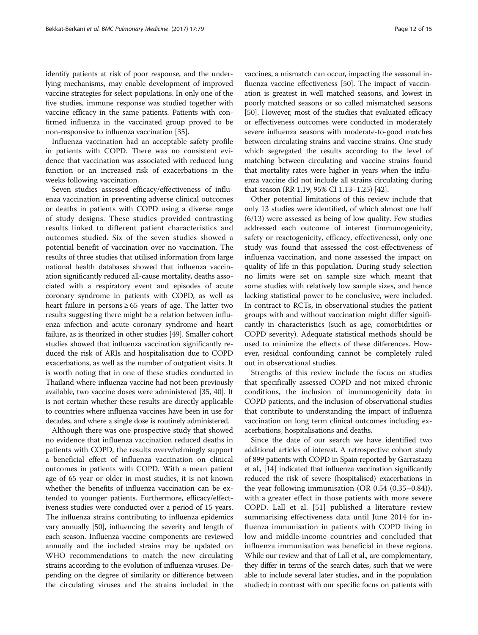identify patients at risk of poor response, and the underlying mechanisms, may enable development of improved vaccine strategies for select populations. In only one of the five studies, immune response was studied together with vaccine efficacy in the same patients. Patients with confirmed influenza in the vaccinated group proved to be non-responsive to influenza vaccination [\[35\]](#page-13-0).

Influenza vaccination had an acceptable safety profile in patients with COPD. There was no consistent evidence that vaccination was associated with reduced lung function or an increased risk of exacerbations in the weeks following vaccination.

Seven studies assessed efficacy/effectiveness of influenza vaccination in preventing adverse clinical outcomes or deaths in patients with COPD using a diverse range of study designs. These studies provided contrasting results linked to different patient characteristics and outcomes studied. Six of the seven studies showed a potential benefit of vaccination over no vaccination. The results of three studies that utilised information from large national health databases showed that influenza vaccination significantly reduced all-cause mortality, deaths associated with a respiratory event and episodes of acute coronary syndrome in patients with COPD, as well as heart failure in persons  $\geq 65$  years of age. The latter two results suggesting there might be a relation between influenza infection and acute coronary syndrome and heart failure, as is theorized in other studies [\[49\]](#page-14-0). Smaller cohort studies showed that influenza vaccination significantly reduced the risk of ARIs and hospitalisation due to COPD exacerbations, as well as the number of outpatient visits. It is worth noting that in one of these studies conducted in Thailand where influenza vaccine had not been previously available, two vaccine doses were administered [\[35](#page-13-0), [40\]](#page-13-0). It is not certain whether these results are directly applicable to countries where influenza vaccines have been in use for decades, and where a single dose is routinely administered.

Although there was one prospective study that showed no evidence that influenza vaccination reduced deaths in patients with COPD, the results overwhelmingly support a beneficial effect of influenza vaccination on clinical outcomes in patients with COPD. With a mean patient age of 65 year or older in most studies, it is not known whether the benefits of influenza vaccination can be extended to younger patients. Furthermore, efficacy/effectiveness studies were conducted over a period of 15 years. The influenza strains contributing to influenza epidemics vary annually [[50](#page-14-0)], influencing the severity and length of each season. Influenza vaccine components are reviewed annually and the included strains may be updated on WHO recommendations to match the new circulating strains according to the evolution of influenza viruses. Depending on the degree of similarity or difference between the circulating viruses and the strains included in the vaccines, a mismatch can occur, impacting the seasonal influenza vaccine effectiveness [[50](#page-14-0)]. The impact of vaccination is greatest in well matched seasons, and lowest in poorly matched seasons or so called mismatched seasons [[50](#page-14-0)]. However, most of the studies that evaluated efficacy or effectiveness outcomes were conducted in moderately severe influenza seasons with moderate-to-good matches between circulating strains and vaccine strains. One study which segregated the results according to the level of matching between circulating and vaccine strains found that mortality rates were higher in years when the influenza vaccine did not include all strains circulating during that season (RR 1.19, 95% CI 1.13–1.25) [[42](#page-13-0)].

Other potential limitations of this review include that only 13 studies were identified, of which almost one half (6/13) were assessed as being of low quality. Few studies addressed each outcome of interest (immunogenicity, safety or reactogenicity, efficacy, effectiveness), only one study was found that assessed the cost-effectiveness of influenza vaccination, and none assessed the impact on quality of life in this population. During study selection no limits were set on sample size which meant that some studies with relatively low sample sizes, and hence lacking statistical power to be conclusive, were included. In contract to RCTs, in observational studies the patient groups with and without vaccination might differ significantly in characteristics (such as age, comorbidities or COPD severity). Adequate statistical methods should be used to minimize the effects of these differences. However, residual confounding cannot be completely ruled out in observational studies.

Strengths of this review include the focus on studies that specifically assessed COPD and not mixed chronic conditions, the inclusion of immunogenicity data in COPD patients, and the inclusion of observational studies that contribute to understanding the impact of influenza vaccination on long term clinical outcomes including exacerbations, hospitalisations and deaths.

Since the date of our search we have identified two additional articles of interest. A retrospective cohort study of 899 patients with COPD in Spain reported by Garrastazu et al., [\[14\]](#page-13-0) indicated that influenza vaccination significantly reduced the risk of severe (hospitalised) exacerbations in the year following immunisation (OR 0.54 (0.35–0.84)), with a greater effect in those patients with more severe COPD. Lall et al. [[51\]](#page-14-0) published a literature review summarising effectiveness data until June 2014 for influenza immunisation in patients with COPD living in low and middle-income countries and concluded that influenza immunisation was beneficial in these regions. While our review and that of Lall et al., are complementary, they differ in terms of the search dates, such that we were able to include several later studies, and in the population studied; in contrast with our specific focus on patients with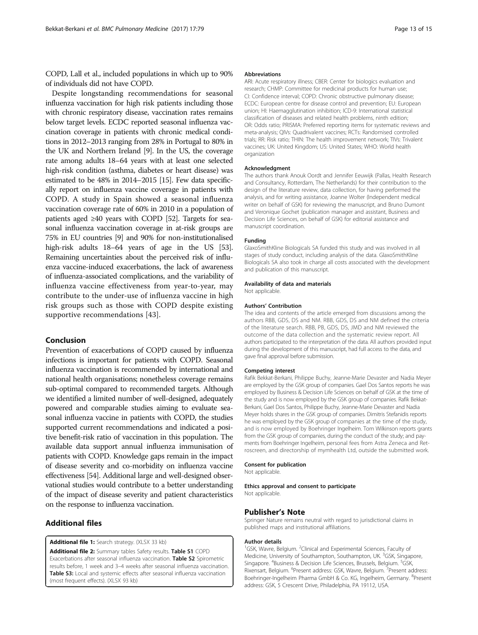<span id="page-12-0"></span>COPD, Lall et al., included populations in which up to 90% of individuals did not have COPD.

Despite longstanding recommendations for seasonal influenza vaccination for high risk patients including those with chronic respiratory disease, vaccination rates remains below target levels. ECDC reported seasonal influenza vaccination coverage in patients with chronic medical conditions in 2012–2013 ranging from 28% in Portugal to 80% in the UK and Northern Ireland [\[9\]](#page-13-0). In the US, the coverage rate among adults 18–64 years with at least one selected high-risk condition (asthma, diabetes or heart disease) was estimated to be 48% in 2014–2015 [[15\]](#page-13-0). Few data specifically report on influenza vaccine coverage in patients with COPD. A study in Spain showed a seasonal influenza vaccination coverage rate of 60% in 2010 in a population of patients aged ≥40 years with COPD [\[52\]](#page-14-0). Targets for seasonal influenza vaccination coverage in at-risk groups are 75% in EU countries [\[9\]](#page-13-0) and 90% for non-institutionalised high-risk adults 18–64 years of age in the US [\[53](#page-14-0)]. Remaining uncertainties about the perceived risk of influenza vaccine-induced exacerbations, the lack of awareness of influenza-associated complications, and the variability of influenza vaccine effectiveness from year-to-year, may contribute to the under-use of influenza vaccine in high risk groups such as those with COPD despite existing supportive recommendations [[43\]](#page-13-0).

## Conclusion

Prevention of exacerbations of COPD caused by influenza infections is important for patients with COPD. Seasonal influenza vaccination is recommended by international and national health organisations; nonetheless coverage remains sub-optimal compared to recommended targets. Although we identified a limited number of well-designed, adequately powered and comparable studies aiming to evaluate seasonal influenza vaccine in patients with COPD, the studies supported current recommendations and indicated a positive benefit-risk ratio of vaccination in this population. The available data support annual influenza immunisation of patients with COPD. Knowledge gaps remain in the impact of disease severity and co-morbidity on influenza vaccine effectiveness [\[54](#page-14-0)]. Additional large and well-designed observational studies would contribute to a better understanding of the impact of disease severity and patient characteristics on the response to influenza vaccination.

## Additional files

[Additional file 1:](dx.doi.org/10.1186/s12890-017-0420-8) Search strategy. (XLSX 33 kb)

[Additional file 2:](dx.doi.org/10.1186/s12890-017-0420-8) Summary tables Safety results. Table S1 COPD Exacerbations after seasonal influenza vaccination. Table S2 Spirometric results before, 1 week and 3–4 weeks after seasonal influenza vaccination. Table S3: Local and systemic effects after seasonal influenza vaccination (most frequent effects). (XLSX 93 kb)

#### Abbreviations

ARI: Acute respiratory illness; CBER: Center for biologics evaluation and research; CHMP: Committee for medicinal products for human use; CI: Confidence interval; COPD: Chronic obstructive pulmonary disease; ECDC: European centre for disease control and prevention; EU: European union; HI: Haemagglutination inhibition; ICD-9: International statistical classification of diseases and related health problems, ninth edition; OR: Odds ratio; PRISMA: Preferred reporting items for systematic reviews and meta-analysis; QIVs: Quadrivalent vaccines; RCTs: Randomised controlled trials; RR: Risk ratio; THIN: The health improvement network; TIVs: Trivalent vaccines; UK: United Kingdom; US: United States; WHO: World health organization

#### Acknowledgment

The authors thank Anouk Oordt and Jennifer Eeuwijk (Pallas, Health Research and Consultancy, Rotterdam, The Netherlands) for their contribution to the design of the literature review, data collection, for having performed the analysis, and for writing assistance, Joanne Wolter (Independent medical writer on behalf of GSK) for reviewing the manuscript, and Bruno Dumont and Veronique Gochet (publication manager and assistant, Business and Decision Life Sciences, on behalf of GSK) for editorial assistance and manuscript coordination.

#### Funding

GlaxoSmithKline Biologicals SA funded this study and was involved in all stages of study conduct, including analysis of the data. GlaxoSmithKline Biologicals SA also took in charge all costs associated with the development and publication of this manuscript.

#### Availability of data and materials

Not applicable.

#### Authors' Contribution

The idea and contents of the article emerged from discussions among the authors RBB, GDS, DS and NM. RBB, GDS, DS and NM defined the criteria of the literature search. RBB, PB, GDS, DS, JMD and NM reviewed the outcome of the data collection and the systematic review report. All authors participated to the interpretation of the data. All authors provided input during the development of this manuscript, had full access to the data, and gave final approval before submission.

#### Competing interest

Rafik Bekkat-Berkani, Philippe Buchy, Jeanne-Marie Devaster and Nadia Meyer are employed by the GSK group of companies. Gael Dos Santos reports he was employed by Business & Decision Life Sciences on behalf of GSK at the time of the study and is now employed by the GSK group of companies. Rafik Bekkat-Berkani, Gael Dos Santos, Philippe Buchy, Jeanne-Marie Devaster and Nadia Meyer holds shares in the GSK group of companies. Dimitris Stefanidis reports he was employed by the GSK group of companies at the time of the study, and is now employed by Boehringer Ingelheim. Tom Wilkinson reports grants from the GSK group of companies, during the conduct of the study; and payments from Boehringer Ingelheim, personal fees from Astra Zeneca and Retroscreen, and directorship of mymhealth Ltd, outside the submitted work.

#### Consent for publication

Not applicable.

Ethics approval and consent to participate

Not applicable.

#### Publisher's Note

Springer Nature remains neutral with regard to jurisdictional claims in published maps and institutional affiliations.

#### Author details

<sup>1</sup>GSK, Wavre, Belgium. <sup>2</sup>Clinical and Experimental Sciences, Faculty of Medicine, University of Southampton, Southampton, UK. <sup>3</sup>GSK, Singapore, Singapore. <sup>4</sup>Business & Decision Life Sciences, Brussels, Belgium. <sup>5</sup>GSK Rixensart, Belgium. <sup>6</sup>Present address: GSK, Wavre, Belgium. <sup>7</sup>Present address: Boehringer-Ingelheim Pharma GmbH & Co. KG, Ingelheim, Germany. <sup>8</sup>Present address: GSK, 5 Crescent Drive, Philadelphia, PA 19112, USA.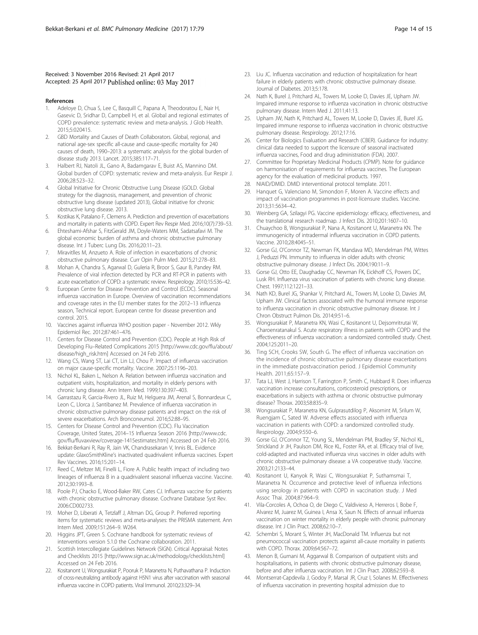#### <span id="page-13-0"></span>Received: 3 November 2016 Revised: 21 April 2017 Accepted: 25 April 2017 Published online: 03 May 2017

#### References

- Adeloye D, Chua S, Lee C, Basquill C, Papana A, Theodoratou E, Nair H, Gasevic D, Sridhar D, Campbell H, et al. Global and regional estimates of COPD prevalence: systematic review and meta-analysis. J Glob Health. 2015;5:020415.
- 2. GBD Mortality and Causes of Death Collaborators. Global, regional, and national age-sex specific all-cause and cause-specific mortality for 240 causes of death, 1990–2013: a systematic analysis for the global burden of disease study 2013. Lancet. 2015;385:117–71.
- 3. Halbert RJ, Natoli JL, Gano A, Badamgarav E, Buist AS, Mannino DM. Global burden of COPD: systematic review and meta-analysis. Eur Respir J. 2006;28:523–32.
- 4. Global Initiative for Chronic Obstructive Lung Disease (GOLD. Global strategy for the diagnosis, management, and prevention of chronic obstructive lung disease (updated 2013), Global initiative for chronic obstructive lung disease. 2013.
- 5. Kostikas K, Patalano F, Clemens A. Prediction and prevention of exacerbations and mortality in patients with COPD. Expert Rev Respir Med. 2016;10(7):739–53.
- 6. Ehteshami-Afshar S, FitzGerald JM, Doyle-Waters MM, Sadatsafavi M. The global economic burden of asthma and chronic obstructive pulmonary disease. Int J Tuberc Lung Dis. 2016;20:11–23.
- 7. Miravitlles M, Anzueto A. Role of infection in exacerbations of chronic obstructive pulmonary disease. Curr Opin Pulm Med. 2015;21:278–83.
- 8. Mohan A, Chandra S, Agarwal D, Guleria R, Broor S, Gaur B, Pandey RM. Prevalence of viral infection detected by PCR and RT-PCR in patients with acute exacerbation of COPD: a systematic review. Respirology. 2010;15:536–42.
- 9. European Centre for Disease Prevention and Control (ECDC). Seasonal influenza vaccination in Europe. Overview of vaccination recommendations and coverage rates in the EU member states for the 2012–13 influenza season, Technical report. European centre for disease prevention and control. 2015.
- 10. Vaccines against influenza WHO position paper November 2012. Wkly Epidemiol Rec. 2012;87:461–476.
- 11. Centers for Disease Control and Prevention (CDC). People at High Risk of Developing Flu–Related Complications 2015 [\[http://www.cdc.gov/flu/about/](http://www.cdc.gov/flu/about/disease/high_risk.htm) [disease/high\\_risk.htm](http://www.cdc.gov/flu/about/disease/high_risk.htm)] Accessed on 24 Feb 2016.
- 12. Wang CS, Wang ST, Lai CT, Lin LJ, Chou P. Impact of influenza vaccination on major cause-specific mortality. Vaccine. 2007;25:1196–203.
- 13. Nichol KL, Baken L, Nelson A. Relation between influenza vaccination and outpatient visits, hospitalization, and mortality in elderly persons with chronic lung disease. Ann Intern Med. 1999;130:397–403.
- 14. Garrastazu R, Garcia-Rivero JL, Ruiz M, Helguera JM, Arenal S, Bonnardeux C, Leon C, Llorca J, Santibanez M. Prevalence of influenza vaccination in chronic obstructive pulmonary disease patients and impact on the risk of severe exacerbations. Arch Bronconeumol. 2016;52:88–95.
- 15. Centers for Disease Control and Prevention (CDC). Flu Vaccination Coverage, United States, 2014–15 Influenza Season 2016 [[http://www.cdc.](http://www.cdc.gov/flu/fluvaxview/coverage-1415estimates.htm) [gov/flu/fluvaxview/coverage-1415estimates.htm\]](http://www.cdc.gov/flu/fluvaxview/coverage-1415estimates.htm) Accessed on 24 Feb 2016.
- 16. Bekkat-Berkani R, Ray R, Jain VK, Chandrasekaran V, Innis BL. Evidence update: GlaxoSmithKline's inactivated quadrivalent influenza vaccines. Expert Rev Vaccines. 2016;15:201–14.
- 17. Reed C, Meltzer MI, Finelli L, Fiore A. Public health impact of including two lineages of influenza B in a quadrivalent seasonal influenza vaccine. Vaccine. 2012;30:1993–8.
- 18. Poole PJ, Chacko E, Wood-Baker RW, Cates CJ. Influenza vaccine for patients with chronic obstructive pulmonary disease. Cochrane Database Syst Rev. 2006:CD002733.
- 19. Moher D, Liberati A, Tetzlaff J, Altman DG, Group P. Preferred reporting items for systematic reviews and meta-analyses: the PRISMA statement. Ann Intern Med. 2009;151:264–9. W264.
- 20. Higgins JPT, Green S. Cochrane handbook for systematic reviews of interventions version 5.1.0 the Cochrane collaboration. 2011.
- 21. Scottish Intercollegiate Guidelines Network (SIGN). Critical Appraisal: Notes and Checklists 2015 [\[http://www.sign.ac.uk/methodology/checklists.html](http://www.sign.ac.uk/methodology/checklists.html)] Accessed on 24 Feb 2016.
- 22. Kositanont U, Wongsurakiat P, Pooruk P, Maranetra N, Puthavathana P. Induction of cross-neutralizing antibody against H5N1 virus after vaccination with seasonal influenza vaccine in COPD patients. Viral Immunol. 2010;23:329–34.
- 23. Liu JC. Influenza vaccination and reduction of hospitalization for heart failure in elderly patients with chronic obstructive pulmonary disease. Journal of Diabetes. 2013;5:178.
- 24. Nath K, Burel J, Pritchard AL, Towers M, Looke D, Davies JE, Upham JW. Impaired immune response to influenza vaccination in chronic obstructive pulmonary disease. Intern Med J. 2011;41:13.
- Upham JW, Nath K, Pritchard AL, Towers M, Looke D, Davies JE, Burel JG. Impaired immune response to influenza vaccination in chronic obstructive pulmonary disease. Respirology. 2012;17:16.
- 26. Center for Biologics Evaluation and Research (CBER). Guidance for industry: clinical data needed to support the licensure of seasonal inactivated influenza vaccines, Food and drug administration (FDA). 2007.
- 27. Committee for Proprietary Medicinal Products (CPMP). Note for guidance on harmonisation of requirements for influenza vaccines. The European agency for the evaluation of medicinal products. 1997.
- 28. NIAID/DMID. DMID interventional protocol template. 2011.
- 29. Hanquet G, Valenciano M, Simondon F, Moren A. Vaccine effects and impact of vaccination programmes in post-licensure studies. Vaccine. 2013;31:5634–42.
- 30. Weinberg GA, Szilagyi PG. Vaccine epidemiology: efficacy, effectiveness, and the translational research roadmap. J Infect Dis. 2010;201:1607–10.
- 31. Chuaychoo B, Wongsurakiat P, Nana A, Kositanont U, Maranetra KN. The immunogenicity of intradermal influenza vaccination in COPD patients. Vaccine. 2010;28:4045–51.
- 32. Gorse GJ, O'Connor TZ, Newman FK, Mandava MD, Mendelman PM, Wittes J, Peduzzi PN. Immunity to influenza in older adults with chronic obstructive pulmonary disease. J Infect Dis. 2004;190:11–9.
- 33. Gorse GJ, Otto EE, Daughaday CC, Newman FK, Eickhoff CS, Powers DC, Lusk RH. Influenza virus vaccination of patients with chronic lung disease. Chest. 1997;112:1221–33.
- 34. Nath KD, Burel JG, Shankar V, Pritchard AL, Towers M, Looke D, Davies JM, Upham JW. Clinical factors associated with the humoral immune response to influenza vaccination in chronic obstructive pulmonary disease. Int J Chron Obstruct Pulmon Dis. 2014;9:51–6.
- 35. Wongsurakiat P, Maranetra KN, Wasi C, Kositanont U, Dejsomritrutai W, Charoenratanakul S. Acute respiratory illness in patients with COPD and the effectiveness of influenza vaccination: a randomized controlled study. Chest. 2004;125:2011–20.
- 36. Ting SCH, Crooks SW, South G. The effect of influenza vaccination on the incidence of chronic obstructive pulmonary disease exacerbations in the immediate postvaccination period. J Epidemiol Community Health. 2011;65:157–9.
- 37. Tata LJ, West J, Harrison T, Farrington P, Smith C, Hubbard R. Does influenza vaccination increase consultations, corticosteroid prescriptions, or exacerbations in subjects with asthma or chronic obstructive pulmonary disease? Thorax. 2003;58:835–9.
- 38. Wongsurakiat P, Maranetra KN, Gulprasutdilog P, Aksornint M, Srilum W, Ruengjam C, Sated W. Adverse effects associated with influenza vaccination in patients with COPD: a randomized controlled study. Respirology. 2004;9:550–6.
- 39. Gorse GJ, O'Connor TZ, Young SL, Mendelman PM, Bradley SF, Nichol KL, Strickland Jr JH, Paulson DM, Rice KL, Foster RA, et al. Efficacy trial of live, cold-adapted and inactivated influenza virus vaccines in older adults with chronic obstructive pulmonary disease: a VA cooperative study. Vaccine. 2003;21:2133–44.
- 40. Kositanont U, Kanyok R, Wasi C, Wongsurakiat P, Suthamsmai T, Maranetra N. Occurrence and protective level of influenza infections using serology in patients with COPD in vaccination study. J Med Assoc Thai. 2004;87:964–9.
- 41. Vila-Corcoles A, Ochoa O, de Diego C, Valdivieso A, Herreros I, Bobe F, Alvarez M, Juarez M, Guinea I, Ansa X, Saun N. Effects of annual influenza vaccination on winter mortality in elderly people with chronic pulmonary disease. Int J Clin Pract. 2008;62:10–7.
- 42. Schembri S, Morant S, Winter JH, MacDonald TM. Influenza but not pneumococcal vaccination protects against all-cause mortality in patients with COPD. Thorax. 2009;64:567–72.
- 43. Menon B, Gurnani M, Aggarwal B. Comparison of outpatient visits and hospitalisations, in patients with chronic obstructive pulmonary disease, before and after influenza vaccination. Int J Clin Pract. 2008;62:593–8.
- 44. Montserrat-Capdevila J, Godoy P, Marsal JR, Cruz I, Solanes M. Effectiveness of influenza vaccination in preventing hospital admission due to